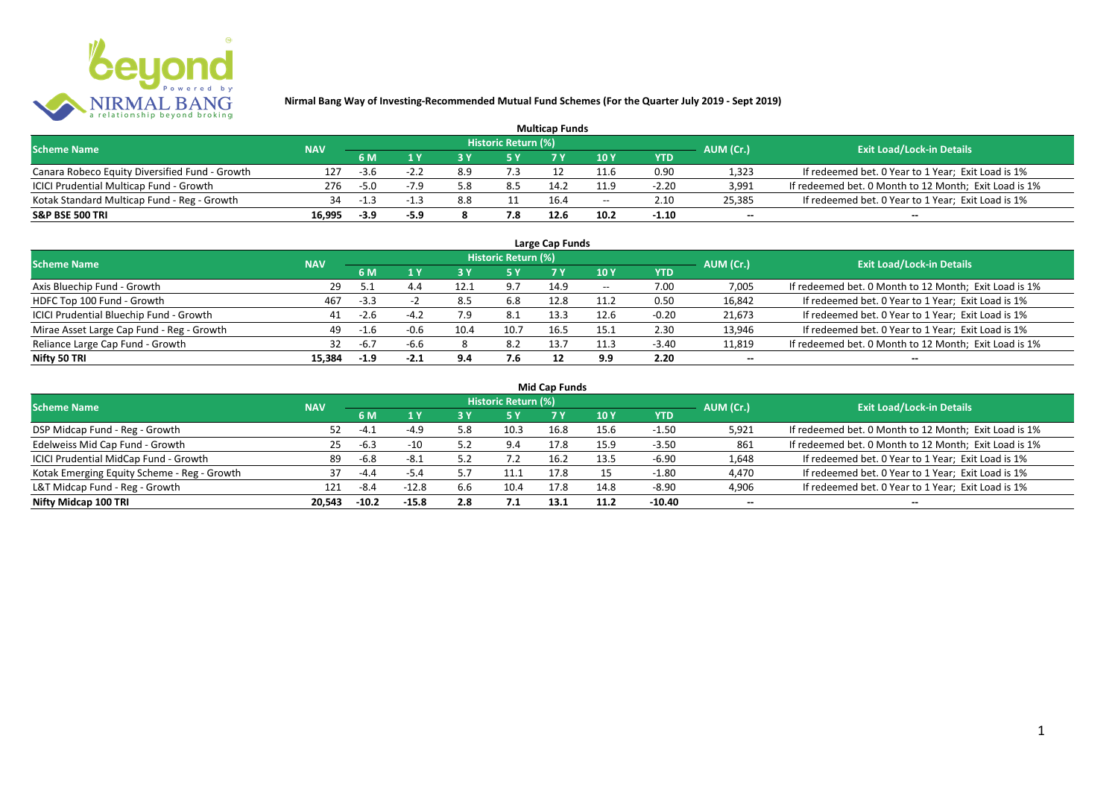

| <b>Multicap Funds</b>                          |            |           |                                  |      |     |      |                          |         |                          |                                                       |  |  |  |  |
|------------------------------------------------|------------|-----------|----------------------------------|------|-----|------|--------------------------|---------|--------------------------|-------------------------------------------------------|--|--|--|--|
| <b>Scheme Name</b>                             | <b>NAV</b> | AUM (Cr.) | <b>Exit Load/Lock-in Details</b> |      |     |      |                          |         |                          |                                                       |  |  |  |  |
|                                                |            | 6 M       |                                  |      |     |      | 10Y                      | YTD     |                          |                                                       |  |  |  |  |
| Canara Robeco Equity Diversified Fund - Growth | 127        | $-3.6$    | $-2.2$                           | 8.9  | 7.3 |      | 11.6                     | 0.90    | 1,323                    | If redeemed bet. 0 Year to 1 Year; Exit Load is 1%    |  |  |  |  |
| ICICI Prudential Multicap Fund - Growth        | 276        | $-5.0$    |                                  | .8 د | 8.5 | 14.7 | 11.9                     | $-2.20$ | 3,991                    | If redeemed bet. 0 Month to 12 Month; Exit Load is 1% |  |  |  |  |
| Kotak Standard Multicap Fund - Reg - Growth    | 34         | -1.3      |                                  | 8.8  |     | 16.4 | $\overline{\phantom{a}}$ | 2.10    | 25,385                   | If redeemed bet. 0 Year to 1 Year; Exit Load is 1%    |  |  |  |  |
| S&P BSE 500 TRI                                | 16.995     | $-3.9$    | $-5.9$                           |      | 7.8 | 12.6 | 10.2                     | $-1.10$ | $\overline{\phantom{a}}$ | $\overline{\phantom{a}}$                              |  |  |  |  |

| Large Cap Funds<br>Historic Return (%)    |            |        |        |      |      |      |       |            |                          |                                                       |  |  |  |  |
|-------------------------------------------|------------|--------|--------|------|------|------|-------|------------|--------------------------|-------------------------------------------------------|--|--|--|--|
| <b>Scheme Name</b>                        | <b>NAV</b> | 6 M    | 1 Y    | ט כ  | 5 Y  |      | 10Y   | <b>YTD</b> | AUM (Cr.)                | <b>Exit Load/Lock-in Details</b>                      |  |  |  |  |
| Axis Bluechip Fund - Growth               | 29         |        | 4.4    | 12.1 | 9.7  | 14.9 | $- -$ | 7.00       | 7,005                    | If redeemed bet. 0 Month to 12 Month; Exit Load is 1% |  |  |  |  |
| HDFC Top 100 Fund - Growth                | 467        | $-3.3$ |        | 8.5  | 6.8  | 12.8 | 11.2  | 0.50       | 16,842                   | If redeemed bet. 0 Year to 1 Year; Exit Load is 1%    |  |  |  |  |
| ICICI Prudential Bluechip Fund - Growth   | 41         | $-2.6$ | $-4.2$ |      | 8.1  | 13.3 | 12.6  | $-0.20$    | 21,673                   | If redeemed bet. 0 Year to 1 Year; Exit Load is 1%    |  |  |  |  |
| Mirae Asset Large Cap Fund - Reg - Growth | 49         | $-1.6$ | $-0.6$ | 10.4 | 10.7 | 16.5 | 15.1  | 2.30       | 13,946                   | If redeemed bet. 0 Year to 1 Year; Exit Load is 1%    |  |  |  |  |
| Reliance Large Cap Fund - Growth          | 32         | $-6.7$ | $-6.6$ |      | 8.2  | 13.7 | 11.3  | $-3.40$    | 11,819                   | If redeemed bet. 0 Month to 12 Month; Exit Load is 1% |  |  |  |  |
| Nifty 50 TRI                              | 15.384     | $-1.9$ | $-2.1$ | 9.4  | 7.6  |      | 9.9   | 2.20       | $\overline{\phantom{a}}$ | $\overline{\phantom{a}}$                              |  |  |  |  |

| <b>Mid Cap Funds</b>                        |            |         |         |     |                     |      |      |            |                          |                                                       |  |  |  |  |
|---------------------------------------------|------------|---------|---------|-----|---------------------|------|------|------------|--------------------------|-------------------------------------------------------|--|--|--|--|
| <b>Scheme Name</b>                          | <b>NAV</b> |         |         |     | Historic Return (%) |      |      |            | AUM (Cr.)                | <b>Exit Load/Lock-in Details</b>                      |  |  |  |  |
|                                             |            | 6 M     | 1 Y     | 3 Y | <b>5 Y</b>          | 7 Y  | 10Y  | <b>YTD</b> |                          |                                                       |  |  |  |  |
| DSP Midcap Fund - Reg - Growth              | 52.        | $-4.1$  | $-4.9$  | 5.8 | 10.3                | 16.8 | 15.6 | $-1.50$    | 5,921                    | If redeemed bet. 0 Month to 12 Month; Exit Load is 1% |  |  |  |  |
| Edelweiss Mid Cap Fund - Growth             | 25         | -6.3    | $-10$   | 57  | 9.4                 | 17.8 | 15.9 | $-3.50$    | 861                      | If redeemed bet. 0 Month to 12 Month; Exit Load is 1% |  |  |  |  |
| ICICI Prudential MidCap Fund - Growth       | 89         | $-6.8$  | -8.1    |     |                     | 16.2 | 13.5 | $-6.90$    | 1,648                    | If redeemed bet. 0 Year to 1 Year; Exit Load is 1%    |  |  |  |  |
| Kotak Emerging Equity Scheme - Reg - Growth | 37         | $-4.4$  | $-5.4$  |     | 11.1                | 17.8 |      | $-1.80$    | 4,470                    | If redeemed bet. 0 Year to 1 Year; Exit Load is 1%    |  |  |  |  |
| L&T Midcap Fund - Reg - Growth              | 121        | $-8.4$  | $-12.8$ | 6.6 | 10.4                | 17.8 | 14.8 | $-8.90$    | 4,906                    | If redeemed bet. 0 Year to 1 Year; Exit Load is 1%    |  |  |  |  |
| Nifty Midcap 100 TRI                        | 20.543     | $-10.2$ | $-15.8$ | 2.8 | 7.1                 | 13.1 | 11.2 | -10.40     | $\overline{\phantom{a}}$ | $\qquad \qquad$                                       |  |  |  |  |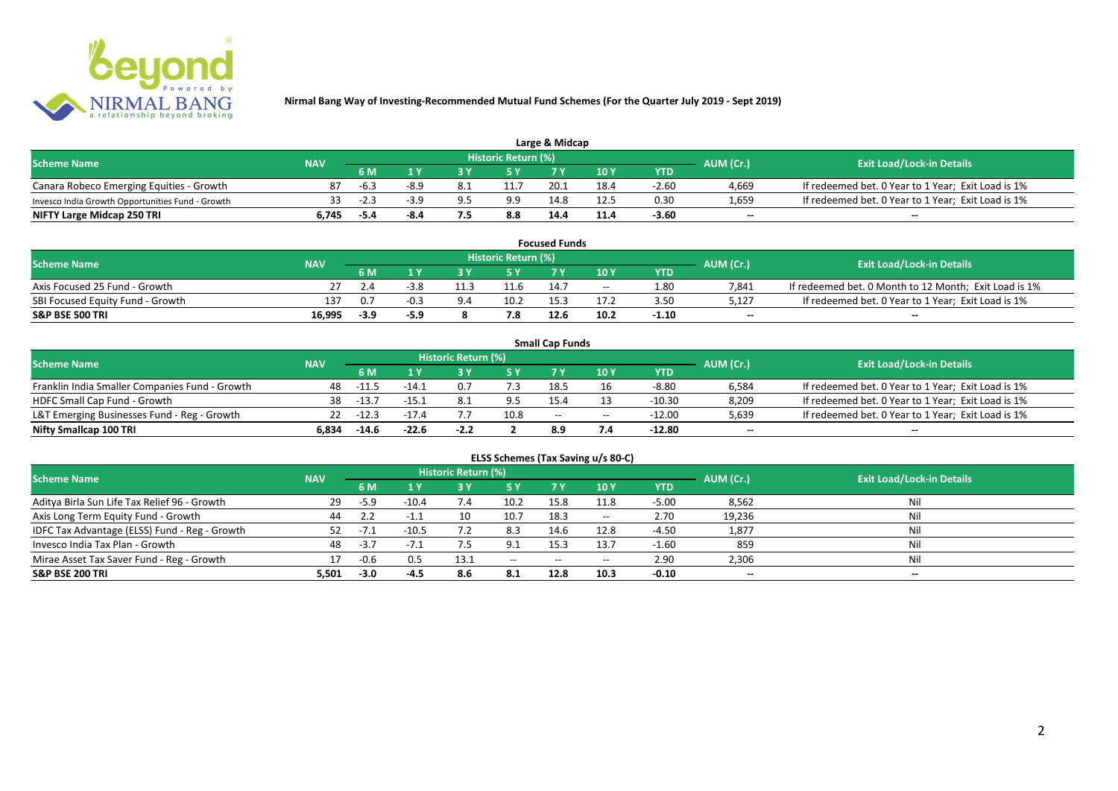

| Large & Midcap                                   |            |      |      |  |                     |      |      |         |           |                                                    |  |  |  |  |
|--------------------------------------------------|------------|------|------|--|---------------------|------|------|---------|-----------|----------------------------------------------------|--|--|--|--|
| <b>Scheme Name</b>                               | <b>NAV</b> |      |      |  | Historic Return (%) |      |      |         | AUM (Cr.) | <b>Exit Load/Lock-in Details</b>                   |  |  |  |  |
|                                                  |            | 6 M  |      |  |                     |      | 10Y  | YTD     |           |                                                    |  |  |  |  |
| Canara Robeco Emerging Equities - Growth         | 87         | -6.3 | -8.9 |  | 11.7                | 20.1 | 18.4 | $-2.60$ | 4,669     | If redeemed bet. 0 Year to 1 Year; Exit Load is 1% |  |  |  |  |
| Invesco India Growth Opportunities Fund - Growth |            | -2.3 | ، 2- |  | 9.9                 |      | 12.5 | 0.30    | 1,659     | If redeemed bet. 0 Year to 1 Year; Exit Load is 1% |  |  |  |  |
| NIFTY Large Midcap 250 TRI                       | 6.745      | -5.4 | -8.4 |  | 8.8                 | 14.4 |      | -3.60   | $-$       | $- -$                                              |  |  |  |  |

| <b>Focused Funds</b>             |            |        |        |  |                     |      |       |            |                          |                                                       |  |  |  |  |
|----------------------------------|------------|--------|--------|--|---------------------|------|-------|------------|--------------------------|-------------------------------------------------------|--|--|--|--|
| <b>Scheme Name</b>               | <b>NAV</b> |        |        |  | Historic Return (%) |      |       |            | AUM (Cr.)                | <b>Exit Load/Lock-in Details</b>                      |  |  |  |  |
|                                  |            | 6 M    |        |  | <b>EV</b>           |      | 10 Y  | <b>YTD</b> |                          |                                                       |  |  |  |  |
| Axis Focused 25 Fund - Growth    |            |        |        |  | 11.6                | 14.7 | $- -$ | 1.80       | 7.841                    | If redeemed bet. 0 Month to 12 Month; Exit Load is 1% |  |  |  |  |
| SBI Focused Equity Fund - Growth | 137        | 0.7    | $-0.3$ |  | 10.2                |      |       | 3.50       | 5.127                    | If redeemed bet. 0 Year to 1 Year; Exit Load is 1%    |  |  |  |  |
| <b>S&amp;P BSE 500 TRI</b>       | 16.995     | $-3.9$ | -5.9   |  |                     | 12.6 | 10.2  | $-1.10$    | $\overline{\phantom{a}}$ | $- -$                                                 |  |  |  |  |

|                                                |            |             |         |                     |      | <b>Small Cap Funds</b> |                                       |            |                          |                                                    |
|------------------------------------------------|------------|-------------|---------|---------------------|------|------------------------|---------------------------------------|------------|--------------------------|----------------------------------------------------|
| <b>Scheme Name</b>                             | <b>NAV</b> |             |         | Historic Return (%) |      |                        |                                       |            | AUM (Cr.)                | <b>Exit Load/Lock-in Details</b>                   |
|                                                |            | 6 M         |         |                     |      |                        | 10 Y                                  | <b>YTD</b> |                          |                                                    |
| Franklin India Smaller Companies Fund - Growth | 48         | -11.5       | $-14.1$ |                     |      | 18.5                   |                                       | $-8.80$    | 6,584                    | If redeemed bet. 0 Year to 1 Year; Exit Load is 1% |
| HDFC Small Cap Fund - Growth                   | 38         | $-13.7$     | $-15.1$ |                     | 9.5  | 15.4                   |                                       | $-10.30$   | 8,209                    | If redeemed bet. 0 Year to 1 Year; Exit Load is 1% |
| L&T Emerging Businesses Fund - Reg - Growth    |            | $22 - 12.3$ | $-17.4$ |                     | 10.8 | $-$                    | $\hspace{0.05cm}$ – $\hspace{0.05cm}$ | -12.00     | 5,639                    | If redeemed bet. 0 Year to 1 Year; Exit Load is 1% |
| Nifty Smallcap 100 TRI                         | 6.834      | $-14.6$     | $-22.6$ | $-2.2$              |      | 8.9                    |                                       | -12.80     | $\overline{\phantom{a}}$ | $- -$                                              |

| ELSS Schemes (Tax Saving u/s 80-C)            |            |           |         |                     |           |            |                                       |            |                          |                                  |  |  |  |
|-----------------------------------------------|------------|-----------|---------|---------------------|-----------|------------|---------------------------------------|------------|--------------------------|----------------------------------|--|--|--|
| <b>Scheme Name</b>                            | <b>NAV</b> |           |         | Historic Return (%) |           |            |                                       |            | AUM (Cr.)                | <b>Exit Load/Lock-in Details</b> |  |  |  |
|                                               |            | <b>6M</b> | 1 Y     | 3 Y                 | <b>5Y</b> | <b>7 Y</b> | 10 Y                                  | <b>YTD</b> |                          |                                  |  |  |  |
| Aditya Birla Sun Life Tax Relief 96 - Growth  | 29         | $-5.9$    | $-10.4$ | 7.4                 | 10.2      | 15.8       | 11.8                                  | $-5.00$    | 8,562                    | Nil                              |  |  |  |
| Axis Long Term Equity Fund - Growth           | 44         |           | $-1.1$  | 10                  | 10.7      | 18.3       | $\overline{\phantom{a}}$              | 2.70       | 19,236                   | Nil                              |  |  |  |
| IDFC Tax Advantage (ELSS) Fund - Reg - Growth | 52         |           | $-10.5$ |                     | 8.3       | 14.6       | 12.8                                  | $-4.50$    | 1,877                    | Nil                              |  |  |  |
| Invesco India Tax Plan - Growth               | 48         | $-3.7$    | $-7.1$  |                     | -9.1      | 15.3       | 13.7                                  | $-1.60$    | 859                      | Nil                              |  |  |  |
| Mirae Asset Tax Saver Fund - Reg - Growth     |            | $-0.6$    | 0.5     | 13.1                | $- -$     | --         | $\hspace{0.05cm}$ – $\hspace{0.05cm}$ | 2.90       | 2,306                    | Nil                              |  |  |  |
| S&P BSE 200 TRI                               | 5,501      | $-3.0$    | $-4.5$  | 8.6                 | 8.1       | 12.8       | 10.3                                  | $-0.10$    | $\overline{\phantom{a}}$ | $\overline{\phantom{a}}$         |  |  |  |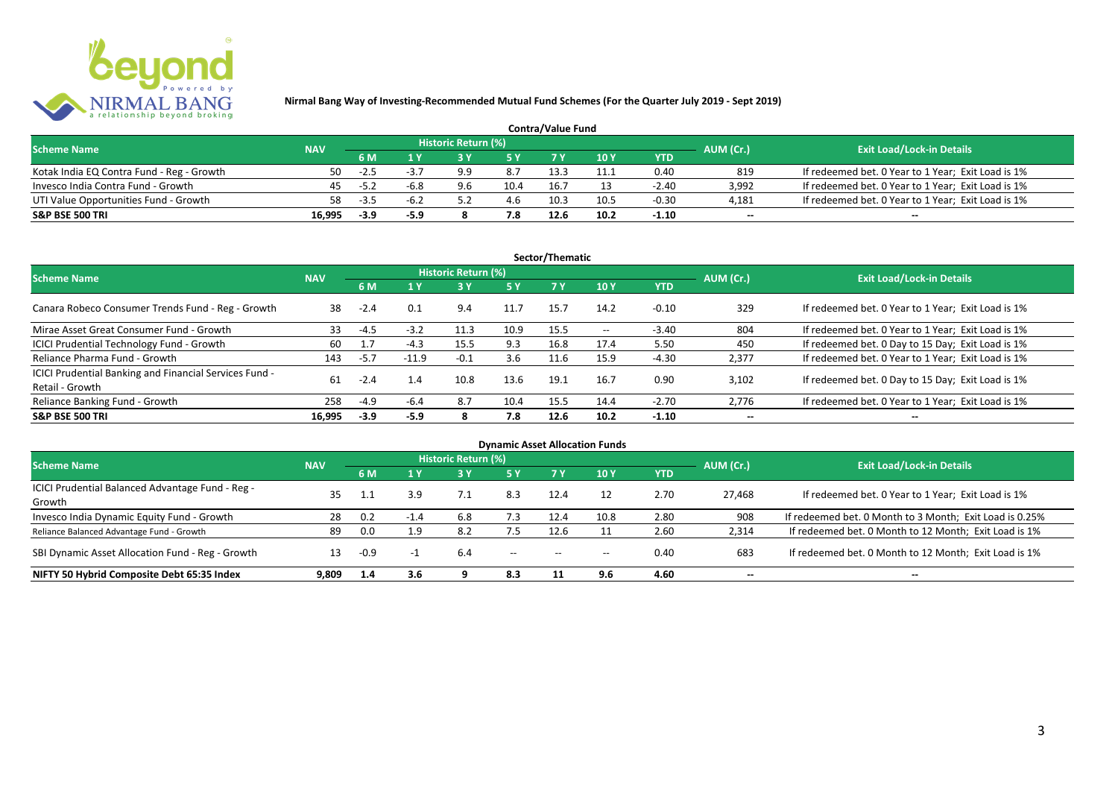

| <b>Contra/Value Fund</b>                  |            |           |                                  |     |      |      |      |         |        |                                                    |  |  |  |  |
|-------------------------------------------|------------|-----------|----------------------------------|-----|------|------|------|---------|--------|----------------------------------------------------|--|--|--|--|
| <b>Scheme Name</b>                        | <b>NAV</b> | AUM (Cr.) | <b>Exit Load/Lock-in Details</b> |     |      |      |      |         |        |                                                    |  |  |  |  |
|                                           |            | 6 M       |                                  |     |      |      | 10 Y | YTD     |        |                                                    |  |  |  |  |
| Kotak India EQ Contra Fund - Reg - Growth | 50         | $-2.5$    |                                  | a a | 8.7  | 13.3 |      | 0.40    | 819    | If redeemed bet. 0 Year to 1 Year; Exit Load is 1% |  |  |  |  |
| Invesco India Contra Fund - Growth        | 45         | $-5.2$    | -6.8                             | 9.6 | 10.4 | 16.7 |      | $-2.40$ | 3.992  | If redeemed bet. 0 Year to 1 Year; Exit Load is 1% |  |  |  |  |
| UTI Value Opportunities Fund - Growth     | 58.        | $-3.5$    | -6.∠                             |     | 4.6  | 10.3 | 10.5 | $-0.30$ | 4,181  | If redeemed bet. 0 Year to 1 Year; Exit Load is 1% |  |  |  |  |
| <b>S&amp;P BSE 500 TRI</b>                | 16.995     | $-3.9$    | -5.9                             |     | 7.8  | 12.6 | 10.2 | $-1.10$ | $\sim$ | $\qquad \qquad$                                    |  |  |  |  |

| Sector/Thematic                                                           |            |        |         |                     |           |      |                   |            |                          |                                                    |  |  |  |
|---------------------------------------------------------------------------|------------|--------|---------|---------------------|-----------|------|-------------------|------------|--------------------------|----------------------------------------------------|--|--|--|
| <b>Scheme Name</b>                                                        | <b>NAV</b> |        |         | Historic Return (%) |           |      |                   |            | AUM (Cr.)                | <b>Exit Load/Lock-in Details</b>                   |  |  |  |
|                                                                           |            | 6 M    | $A$ Y   |                     | <b>5Y</b> | 7 Y  | 10Y               | <b>YTD</b> |                          |                                                    |  |  |  |
| Canara Robeco Consumer Trends Fund - Reg - Growth                         | 38         | $-2.4$ | 0.1     | 9.4                 | 11.7      | 15.7 | 14.2              | $-0.10$    | 329                      | If redeemed bet. 0 Year to 1 Year; Exit Load is 1% |  |  |  |
| Mirae Asset Great Consumer Fund - Growth                                  | 33         | $-4.5$ | $-3.2$  | 11.3                | 10.9      | 15.5 | $\hspace{0.05cm}$ | $-3.40$    | 804                      | If redeemed bet. 0 Year to 1 Year; Exit Load is 1% |  |  |  |
| ICICI Prudential Technology Fund - Growth                                 | 60         | 1.7    | $-4.3$  | 15.5                | 9.3       | 16.8 | 17.4              | 5.50       | 450                      | If redeemed bet. 0 Day to 15 Day; Exit Load is 1%  |  |  |  |
| Reliance Pharma Fund - Growth                                             | 143        | $-5.7$ | $-11.9$ | $-0.1$              | 3.6       | 11.6 | 15.9              | -4.30      | 2,377                    | If redeemed bet. 0 Year to 1 Year; Exit Load is 1% |  |  |  |
| ICICI Prudential Banking and Financial Services Fund -<br>Retail - Growth | 61         | $-2.4$ | 1.4     | 10.8                | 13.6      | 19.1 | 16.7              | 0.90       | 3.102                    | If redeemed bet. 0 Day to 15 Day; Exit Load is 1%  |  |  |  |
| Reliance Banking Fund - Growth                                            | 258        | $-4.9$ | $-6.4$  | 8.7                 | 10.4      | 15.5 | 14.4              | $-2.70$    | 2,776                    | If redeemed bet. 0 Year to 1 Year; Exit Load is 1% |  |  |  |
| <b>S&amp;P BSE 500 TRI</b>                                                | 16.995     | $-3.9$ | $-5.9$  | 8                   | 7.8       | 12.6 | 10.2              | $-1.10$    | $\overline{\phantom{a}}$ | $- -$                                              |  |  |  |

| <b>Dynamic Asset Allocation Funds</b>            |            |        |        |                            |                                       |                                       |       |            |                          |                                                         |  |  |  |  |
|--------------------------------------------------|------------|--------|--------|----------------------------|---------------------------------------|---------------------------------------|-------|------------|--------------------------|---------------------------------------------------------|--|--|--|--|
| Scheme Name                                      | <b>NAV</b> |        |        | <b>Historic Return (%)</b> |                                       |                                       |       |            | AUM (Cr.)                | <b>Exit Load/Lock-in Details</b>                        |  |  |  |  |
|                                                  |            | 6 M    | 1 Y    | 73 V.                      | 5 Y                                   |                                       | 10 Y  | <b>YTD</b> |                          |                                                         |  |  |  |  |
| ICICI Prudential Balanced Advantage Fund - Reg - | 35         |        |        |                            |                                       | 12.4                                  |       | 2.70       |                          |                                                         |  |  |  |  |
| Growth                                           |            |        | 3.9    |                            | 8.3                                   |                                       |       |            | 27.468                   | If redeemed bet. 0 Year to 1 Year; Exit Load is 1%      |  |  |  |  |
| Invesco India Dynamic Equity Fund - Growth       | 28         | 0.2    | $-1.4$ | 6.8                        | 7.3                                   | 12.4                                  | 10.8  | 2.80       | 908                      | If redeemed bet. 0 Month to 3 Month; Exit Load is 0.25% |  |  |  |  |
| Reliance Balanced Advantage Fund - Growth        | 89         | 0.0    | 1.9    | 8.2                        | 7.5                                   | 12.6                                  |       | 2.60       | 2,314                    | If redeemed bet. 0 Month to 12 Month; Exit Load is 1%   |  |  |  |  |
| SBI Dynamic Asset Allocation Fund - Reg - Growth |            | $-0.9$ |        | -6.4                       | $\hspace{0.05cm}$ – $\hspace{0.05cm}$ | $\hspace{0.05cm}$ – $\hspace{0.05cm}$ | $- -$ | 0.40       | 683                      | If redeemed bet. 0 Month to 12 Month; Exit Load is 1%   |  |  |  |  |
| NIFTY 50 Hybrid Composite Debt 65:35 Index       | 9.809      | 1.4    | 3.6    |                            | 8.3                                   |                                       | 9.6   | 4.60       | $\overline{\phantom{a}}$ | $- -$                                                   |  |  |  |  |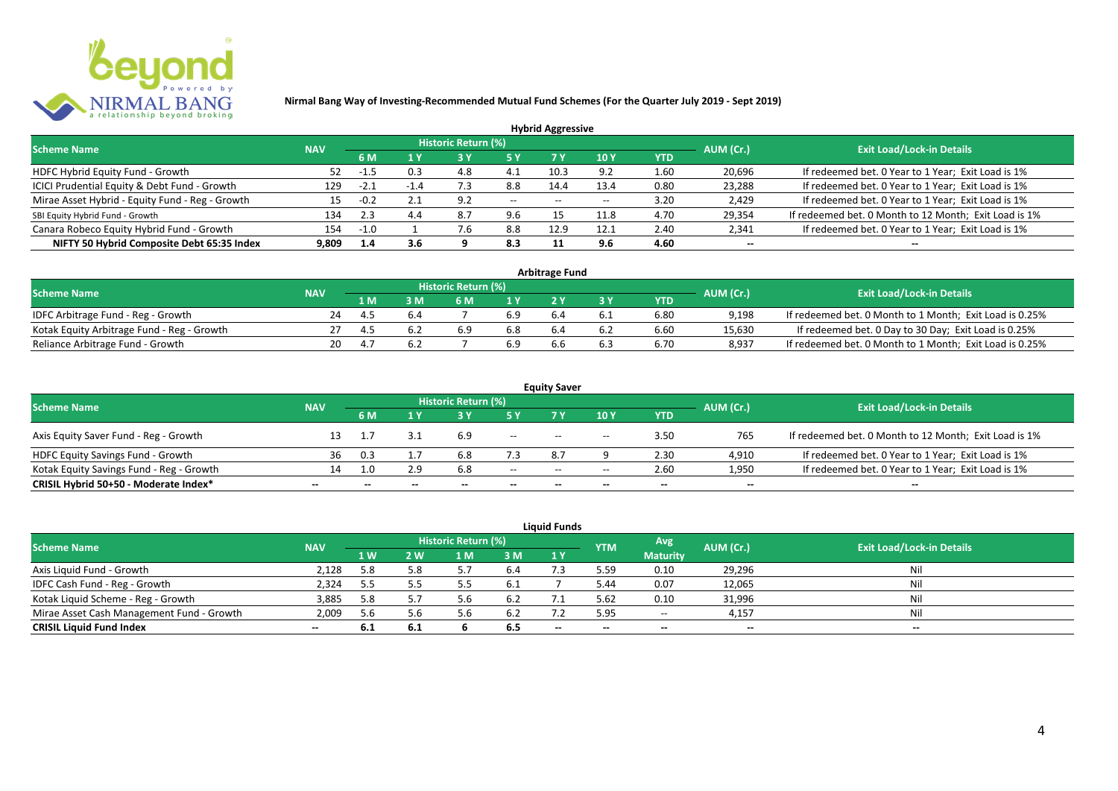

| <b>Hybrid Aggressive</b>                        |            |        |        |                            |       |       |      |      |                          |                                                       |  |  |  |  |
|-------------------------------------------------|------------|--------|--------|----------------------------|-------|-------|------|------|--------------------------|-------------------------------------------------------|--|--|--|--|
| <b>Scheme Name</b>                              | <b>NAV</b> |        |        | <b>Historic Return (%)</b> |       |       |      |      | AUM (Cr.)                | <b>Exit Load/Lock-in Details</b>                      |  |  |  |  |
|                                                 |            | 6 M    | 1 Y    |                            |       | 7 Y   | 10Y  | YTD  |                          |                                                       |  |  |  |  |
| HDFC Hybrid Equity Fund - Growth                |            | -1.5   | 0.3    | 4.8                        |       | 10.3  | 9.2  | 1.60 | 20,696                   | If redeemed bet. 0 Year to 1 Year; Exit Load is 1%    |  |  |  |  |
| ICICI Prudential Equity & Debt Fund - Growth    | 129        | -2.1   | $-1.4$ | -3                         | 8.8   | 14.4  | 13.4 | 0.80 | 23,288                   | If redeemed bet. 0 Year to 1 Year; Exit Load is 1%    |  |  |  |  |
| Mirae Asset Hybrid - Equity Fund - Reg - Growth | 15         | $-0.2$ |        | 9.2                        | $- -$ | $- -$ |      | 3.20 | 2,429                    | If redeemed bet. 0 Year to 1 Year; Exit Load is 1%    |  |  |  |  |
| SBI Equity Hybrid Fund - Growth                 | 134        | 2.3    | 4.4    | 8.7                        | 9.6   |       | 11.8 | 4.70 | 29,354                   | If redeemed bet. 0 Month to 12 Month; Exit Load is 1% |  |  |  |  |
| Canara Robeco Equity Hybrid Fund - Growth       | 154        | $-1.0$ |        |                            | 8.8   | 12.9  | 12.1 | 2.40 | 2,341                    | If redeemed bet. 0 Year to 1 Year; Exit Load is 1%    |  |  |  |  |
| NIFTY 50 Hybrid Composite Debt 65:35 Index      | 9.809      | 1.4    | 3.6    |                            | 8.3   |       | 9.6  | 4.60 | $\overline{\phantom{a}}$ | $- -$                                                 |  |  |  |  |

| <b>Arbitrage Fund</b>                      |            |     |     |                     |     |     |     |            |           |                                                         |  |  |  |  |
|--------------------------------------------|------------|-----|-----|---------------------|-----|-----|-----|------------|-----------|---------------------------------------------------------|--|--|--|--|
| <b>Scheme Name</b>                         | <b>NAV</b> |     |     | Historic Return (%) |     |     |     |            | AUM (Cr.) | <b>Exit Load/Lock-in Details</b>                        |  |  |  |  |
|                                            |            | 1 M |     | 6 M                 |     |     |     | <b>YTD</b> |           |                                                         |  |  |  |  |
| IDFC Arbitrage Fund - Reg - Growth         | 24         | 4.5 | 6.4 |                     | 6.9 |     | 6.1 | 6.80       | 9.198     | If redeemed bet. 0 Month to 1 Month; Exit Load is 0.25% |  |  |  |  |
| Kotak Equity Arbitrage Fund - Reg - Growth |            | 4.5 | 6.2 | 6.9                 | 6.8 | 6.4 | 6.2 | 6.60       | 15,630    | If redeemed bet. 0 Day to 30 Day; Exit Load is 0.25%    |  |  |  |  |
| Reliance Arbitrage Fund - Growth           | 20         |     | 6.2 |                     | 6.9 |     | 6.5 | 6.70       | 8.937     | If redeemed bet. 0 Month to 1 Month; Exit Load is 0.25% |  |  |  |  |

|                                          |                          |     |              |                     |                          | <b>Equity Saver</b> |                                       |                          |                          |                                                       |
|------------------------------------------|--------------------------|-----|--------------|---------------------|--------------------------|---------------------|---------------------------------------|--------------------------|--------------------------|-------------------------------------------------------|
| <b>Scheme Name</b>                       | <b>NAV</b>               |     |              | Historic Return (%) |                          |                     |                                       |                          | AUM (Cr.)                | <b>Exit Load/Lock-in Details</b>                      |
|                                          |                          | 6 M |              |                     |                          |                     | 10 Y                                  | YTD                      |                          |                                                       |
| Axis Equity Saver Fund - Reg - Growth    |                          |     |              | 6.9                 | $--$                     | $- -$               | $\hspace{0.05cm}$ – $\hspace{0.05cm}$ | 3.50                     | 765                      | If redeemed bet. 0 Month to 12 Month; Exit Load is 1% |
| HDFC Equity Savings Fund - Growth        | 36                       | 0.3 |              | 5.8                 |                          | 87                  |                                       | 2.30                     | 4,910                    | If redeemed bet. 0 Year to 1 Year; Exit Load is 1%    |
| Kotak Equity Savings Fund - Reg - Growth | 14.                      | 1.0 | 2.9          | 6.8                 | $- -$                    |                     | $\overline{\phantom{a}}$              | 2.60                     | 1,950                    | If redeemed bet. 0 Year to 1 Year; Exit Load is 1%    |
| CRISIL Hybrid 50+50 - Moderate Index*    | $\overline{\phantom{a}}$ |     | $\mathbf{m}$ | $\qquad \qquad$     | $\overline{\phantom{a}}$ | $- -$               | $\overline{\phantom{a}}$              | $\overline{\phantom{a}}$ | $\overline{\phantom{a}}$ | $\qquad \qquad$                                       |

| <b>Liquid Funds</b>                       |            |     |       |                     |      |       |            |                          |                          |                                  |  |  |  |
|-------------------------------------------|------------|-----|-------|---------------------|------|-------|------------|--------------------------|--------------------------|----------------------------------|--|--|--|
| <b>Scheme Name</b>                        | <b>NAV</b> |     |       | Historic Return (%) |      |       | <b>YTM</b> | Avg                      | AUM (Cr.)                | <b>Exit Load/Lock-in Details</b> |  |  |  |
|                                           |            | 1 W | 2 W   | 1 M                 | 3 M  | 1Y    |            | <b>Maturity</b>          |                          |                                  |  |  |  |
| Axis Liquid Fund - Growth                 | 2.128      | 5.8 | 5.8   |                     | 6.4  |       | 5.59       | 0.10                     | 29,296                   | Nil                              |  |  |  |
| IDFC Cash Fund - Reg - Growth             | 2,324      | 5.5 |       |                     | -6.⊥ |       | 5.44       | 0.07                     | 12,065                   | Nil                              |  |  |  |
| Kotak Liquid Scheme - Reg - Growth        | 3,885      | 5.8 | 5.7   |                     | -6.2 |       | 5.62       | 0.10                     | 31,996                   | Nil                              |  |  |  |
| Mirae Asset Cash Management Fund - Growth | 2,009      | 5.6 | 5.6   |                     | 6.2  |       | 5.95       | $\hspace{0.05cm} \ldots$ | 4,157                    | Nil                              |  |  |  |
| <b>CRISIL Liquid Fund Index</b>           | $- -$      | 6.1 | - 6.1 |                     | 6.5  | $- -$ | $- -$      | $- -$                    | $\overline{\phantom{a}}$ | $- -$                            |  |  |  |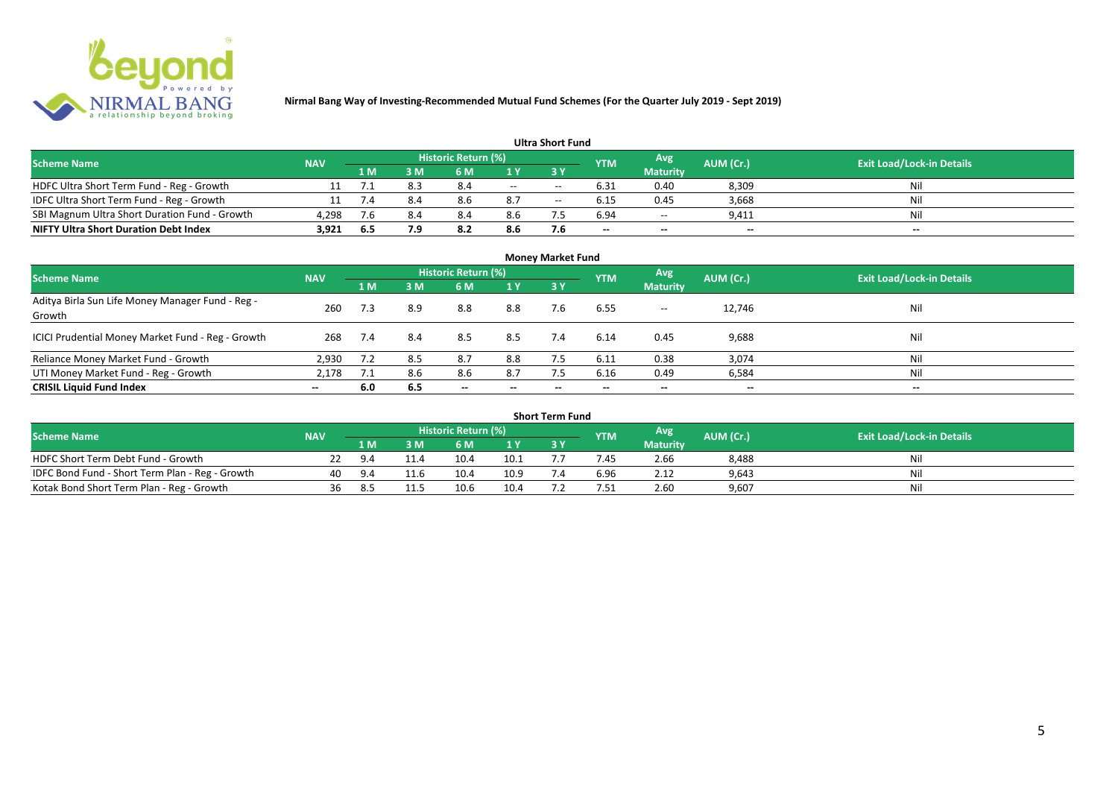

| <b>Ultra Short Fund</b>                       |            |       |     |                            |                          |       |                 |                          |                          |                                  |  |  |  |
|-----------------------------------------------|------------|-------|-----|----------------------------|--------------------------|-------|-----------------|--------------------------|--------------------------|----------------------------------|--|--|--|
| <b>Scheme Name</b>                            | <b>NAV</b> |       |     | <b>Historic Return (%)</b> |                          |       | <b>YTM</b>      | Avg                      | AUM (Cr.)                | <b>Exit Load/Lock-in Details</b> |  |  |  |
|                                               |            | '1 M. | 3 M | 6 M                        |                          | 3 Y   |                 | <b>Maturity</b>          |                          |                                  |  |  |  |
| HDFC Ultra Short Term Fund - Reg - Growth     |            |       | 8.3 | 8.4                        | $\overline{\phantom{a}}$ | $- -$ | 6.31            | 0.40                     | 8,309                    | Nil                              |  |  |  |
| IDFC Ultra Short Term Fund - Reg - Growth     |            | 7.4   |     | 8.6                        | 8.7                      | $- -$ | 6.15            | 0.45                     | 3,668                    | Nil                              |  |  |  |
| SBI Magnum Ultra Short Duration Fund - Growth | 4,298      | 7.6   | 8.4 | 8.4                        | 8.6                      |       | 6.94            | $\overline{\phantom{a}}$ | 9,411                    | Nil                              |  |  |  |
| <b>NIFTY Ultra Short Duration Debt Index</b>  | 3,921      | 6.5   | 7.9 | 8.2                        | 8.6                      | 7.6   | $\qquad \qquad$ | $\overline{\phantom{a}}$ | $\overline{\phantom{a}}$ | $\overline{\phantom{a}}$         |  |  |  |

| <b>Money Market Fund</b>                                   |            |     |     |                            |                          |           |            |                 |                          |                                  |  |  |  |
|------------------------------------------------------------|------------|-----|-----|----------------------------|--------------------------|-----------|------------|-----------------|--------------------------|----------------------------------|--|--|--|
| <b>Scheme Name</b>                                         | <b>NAV</b> |     |     | <b>Historic Return (%)</b> |                          |           | <b>YTM</b> | Avg             | AUM (Cr.)                | <b>Exit Load/Lock-in Details</b> |  |  |  |
|                                                            |            | 1 M | 3M  | 6 M                        | 1 Y                      | <b>3Y</b> |            | <b>Maturity</b> |                          |                                  |  |  |  |
| Aditya Birla Sun Life Money Manager Fund - Reg -<br>Growth | 260        | 7.3 | 8.9 | 8.8                        | 8.8                      | 7.6       | 6.55       | $- -$           | 12,746                   | Nil                              |  |  |  |
| ICICI Prudential Money Market Fund - Reg - Growth          | 268        | 7.4 | 8.4 | 8.5                        | 8.5                      | 7.4       | 6.14       | 0.45            | 9,688                    | Nil                              |  |  |  |
| Reliance Money Market Fund - Growth                        | 2,930      | 7.2 | 8.5 | 8.7                        | 8.8                      |           | 6.11       | 0.38            | 3,074                    | Nil                              |  |  |  |
| UTI Money Market Fund - Reg - Growth                       | 2,178      | 7.1 | 8.6 | 8.6                        | 8.7                      | 7.5       | 6.16       | 0.49            | 6,584                    | Nil                              |  |  |  |
| <b>CRISIL Liquid Fund Index</b>                            | $- -$      | 6.0 | 6.5 | $\overline{\phantom{a}}$   | $\overline{\phantom{a}}$ | $\!-$     | $\!-$      | $\sim$          | $\overline{\phantom{a}}$ | $\overline{\phantom{a}}$         |  |  |  |

| <b>Short Term Fund</b>                          |            |     |      |                     |      |  |            |                 |           |                                  |  |  |  |
|-------------------------------------------------|------------|-----|------|---------------------|------|--|------------|-----------------|-----------|----------------------------------|--|--|--|
| <b>Scheme Name</b>                              | <b>NAV</b> |     |      | Historic Return (%) |      |  | <b>YTM</b> | <b>Avg</b>      | AUM (Cr.) | <b>Exit Load/Lock-in Details</b> |  |  |  |
|                                                 |            | 1 M |      | 5 M                 |      |  |            | <b>Maturity</b> |           |                                  |  |  |  |
| HDFC Short Term Debt Fund - Growth              |            | 9.4 |      | 10.4                | 10.1 |  | 4.5        | 2.66            | 8,488     | Nil                              |  |  |  |
| IDFC Bond Fund - Short Term Plan - Reg - Growth | 40         | 9.4 | 11.6 | 10.4                | 10.9 |  | 6.96       | 2.12            | 9,643     | Nil                              |  |  |  |
| Kotak Bond Short Term Plan - Reg - Growth       | 36         | 8.5 |      | 10.6                | 10.4 |  | 7.51       | 2.60            | 9,607     | Nil                              |  |  |  |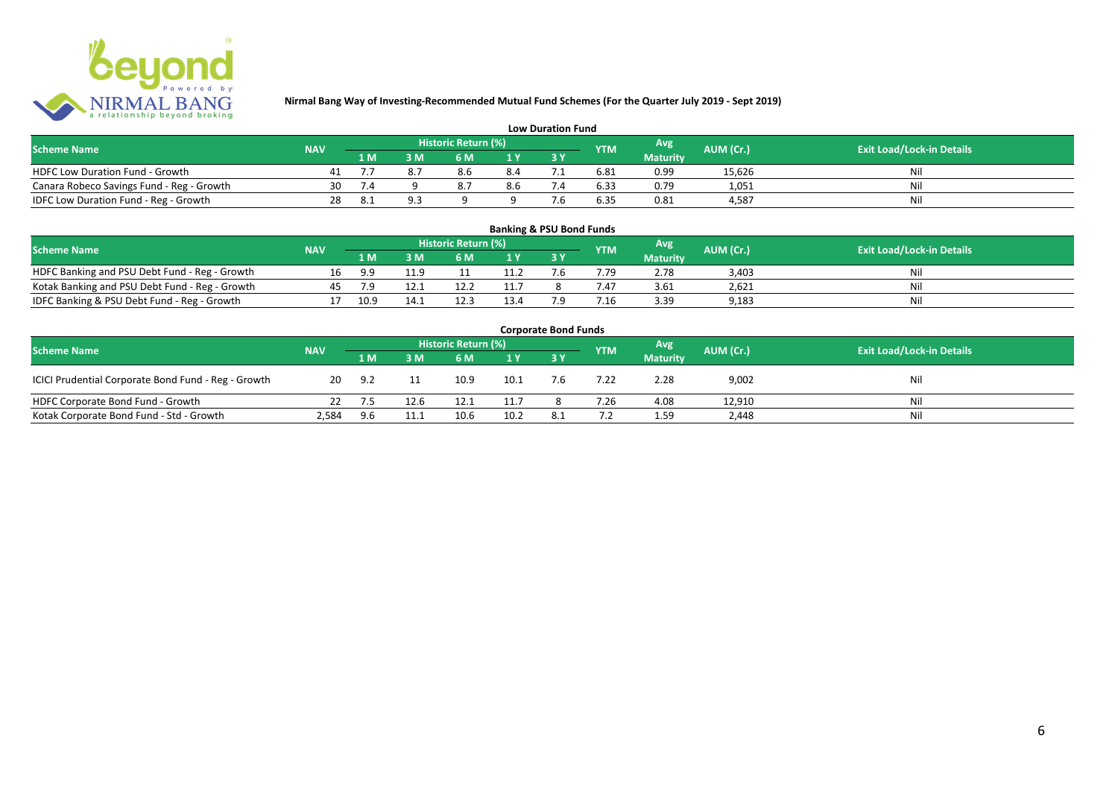

| <b>Low Duration Fund</b>                  |            |      |     |                     |     |  |            |                 |           |                                  |  |  |  |
|-------------------------------------------|------------|------|-----|---------------------|-----|--|------------|-----------------|-----------|----------------------------------|--|--|--|
| <b>Scheme Name</b>                        | <b>NAV</b> |      |     | Historic Return (%) |     |  | <b>YTM</b> | Avg             | AUM (Cr.) | <b>Exit Load/Lock-in Details</b> |  |  |  |
|                                           |            | 1 M  |     | 6 M.                |     |  |            | <b>Maturity</b> |           |                                  |  |  |  |
| <b>HDFC Low Duration Fund - Growth</b>    |            |      |     | 8.6                 | 8.4 |  | 6.81       | 0.99            | 15,626    | Nli                              |  |  |  |
| Canara Robeco Savings Fund - Reg - Growth | 30         |      |     |                     | 8.6 |  | 6.33       | 0.79            | 1,051     | Ni                               |  |  |  |
| IDFC Low Duration Fund - Reg - Growth     | 28         | -8.1 | a a |                     |     |  | 6.35       | 0.81            | 4.587     | Ni                               |  |  |  |

#### **1 M 3 M 6 M 1 Y 3 Y** Notak Banking and PSU Debt Fund - Reg - Growth 16 9.9 11.9 11 11.2 7.6 7.79 2.78 3,403 Nil<br>
Kotak Banking and PSU Debt Fund - Reg - Growth 45 7.9 12.1 12.2 11.7 8 7.47 3.61 2,621 Nil Notak Banking and PSU Debt Fund - Reg - Growth <br>
17 10.9 11.1 12.3 13.4 7.9 7.16 3.39 9.183 11.3 9.183 13.4 7.9 9.183 IDFC Banking & PSU Debt Fund - Reg - Growth 17 10.9 14.1 12.3 13.4 7.9 7.16 3.39 9,183 **Banking & PSU Bond Funds Scheme Name NAV REGISTER AUM (Cr.) AUM (Cr.)** Exit Load/Lock-in Details **Historic Return (%) Maturity**

| <b>Corporate Bond Funds</b>                         |            |     |      |                     |      |     |            |                 |           |                                  |  |  |
|-----------------------------------------------------|------------|-----|------|---------------------|------|-----|------------|-----------------|-----------|----------------------------------|--|--|
| <b>Scheme Name</b>                                  | <b>NAV</b> |     |      | Historic Return (%) |      |     | <b>YTM</b> | <b>Avg</b>      | AUM (Cr.) | <b>Exit Load/Lock-in Details</b> |  |  |
|                                                     |            | 1 M | 3 M  | 6 M                 | 1Y   |     |            | <b>Maturity</b> |           |                                  |  |  |
| ICICI Prudential Corporate Bond Fund - Reg - Growth | 20         | 9.2 |      | 10.9                | 10.1 | 7.6 | 7.22       | 2.28            | 9,002     | Nil                              |  |  |
| HDFC Corporate Bond Fund - Growth                   |            |     | 12.6 | 12.1                | 11.7 |     | 7.26       | 4.08            | 12,910    | Ni                               |  |  |
| Kotak Corporate Bond Fund - Std - Growth            | 2,584      | 9.6 | 11.1 | 10.6                | 10.2 | 8.1 |            | 1.59            | 2,448     | Nil                              |  |  |